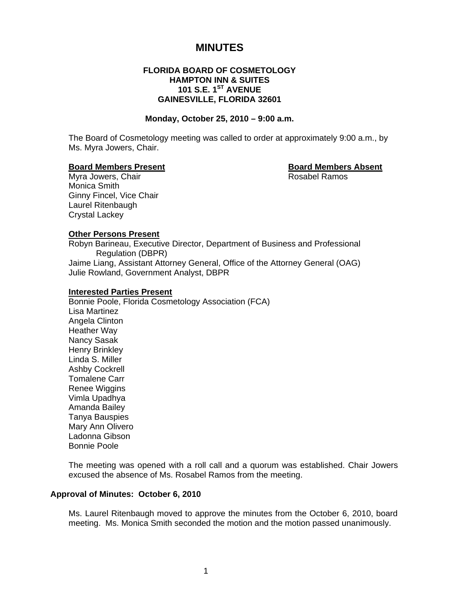# **MINUTES**

# **FLORIDA BOARD OF COSMETOLOGY HAMPTON INN & SUITES 101 S.E. 1ST AVENUE GAINESVILLE, FLORIDA 32601**

#### **Monday, October 25, 2010 – 9:00 a.m.**

The Board of Cosmetology meeting was called to order at approximately 9:00 a.m., by Ms. Myra Jowers, Chair.

# **Board Members Present Contract Contract Board Members Absent Roard Members Absent Contract Absent Absent Absent**<br> **Board Members Chair**

Myra Jowers, Chair Monica Smith Ginny Fincel, Vice Chair Laurel Ritenbaugh Crystal Lackey

# **Other Persons Present**

Robyn Barineau, Executive Director, Department of Business and Professional Regulation (DBPR) Jaime Liang, Assistant Attorney General, Office of the Attorney General (OAG) Julie Rowland, Government Analyst, DBPR

#### **Interested Parties Present**

Bonnie Poole, Florida Cosmetology Association (FCA) Lisa Martinez Angela Clinton Heather Way Nancy Sasak Henry Brinkley Linda S. Miller Ashby Cockrell Tomalene Carr Renee Wiggins Vimla Upadhya Amanda Bailey Tanya Bauspies Mary Ann Olivero Ladonna Gibson Bonnie Poole

The meeting was opened with a roll call and a quorum was established. Chair Jowers excused the absence of Ms. Rosabel Ramos from the meeting.

# **Approval of Minutes: October 6, 2010**

Ms. Laurel Ritenbaugh moved to approve the minutes from the October 6, 2010, board meeting. Ms. Monica Smith seconded the motion and the motion passed unanimously.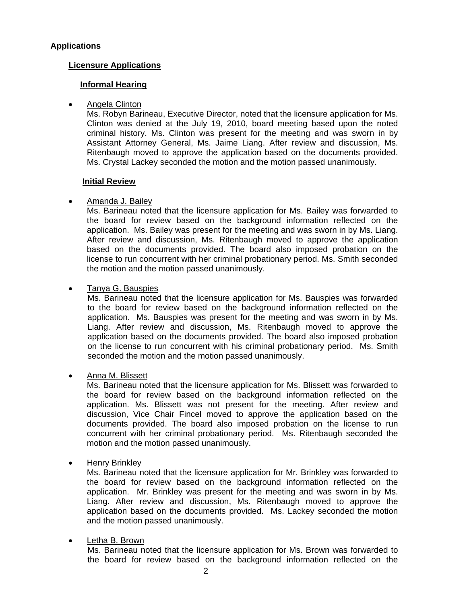# **Applications**

# **Licensure Applications**

# **Informal Hearing**

• Angela Clinton

Ms. Robyn Barineau, Executive Director, noted that the licensure application for Ms. Clinton was denied at the July 19, 2010, board meeting based upon the noted criminal history. Ms. Clinton was present for the meeting and was sworn in by Assistant Attorney General, Ms. Jaime Liang. After review and discussion, Ms. Ritenbaugh moved to approve the application based on the documents provided. Ms. Crystal Lackey seconded the motion and the motion passed unanimously.

# **Initial Review**

# • Amanda J. Bailey

Ms. Barineau noted that the licensure application for Ms. Bailey was forwarded to the board for review based on the background information reflected on the application. Ms. Bailey was present for the meeting and was sworn in by Ms. Liang. After review and discussion, Ms. Ritenbaugh moved to approve the application based on the documents provided. The board also imposed probation on the license to run concurrent with her criminal probationary period. Ms. Smith seconded the motion and the motion passed unanimously.

# • Tanya G. Bauspies

Ms. Barineau noted that the licensure application for Ms. Bauspies was forwarded to the board for review based on the background information reflected on the application. Ms. Bauspies was present for the meeting and was sworn in by Ms. Liang. After review and discussion, Ms. Ritenbaugh moved to approve the application based on the documents provided. The board also imposed probation on the license to run concurrent with his criminal probationary period. Ms. Smith seconded the motion and the motion passed unanimously.

# • Anna M. Blissett

Ms. Barineau noted that the licensure application for Ms. Blissett was forwarded to the board for review based on the background information reflected on the application. Ms. Blissett was not present for the meeting. After review and discussion, Vice Chair Fincel moved to approve the application based on the documents provided. The board also imposed probation on the license to run concurrent with her criminal probationary period. Ms. Ritenbaugh seconded the motion and the motion passed unanimously.

• Henry Brinkley

Ms. Barineau noted that the licensure application for Mr. Brinkley was forwarded to the board for review based on the background information reflected on the application. Mr. Brinkley was present for the meeting and was sworn in by Ms. Liang. After review and discussion, Ms. Ritenbaugh moved to approve the application based on the documents provided. Ms. Lackey seconded the motion and the motion passed unanimously.

# • Letha B. Brown

Ms. Barineau noted that the licensure application for Ms. Brown was forwarded to the board for review based on the background information reflected on the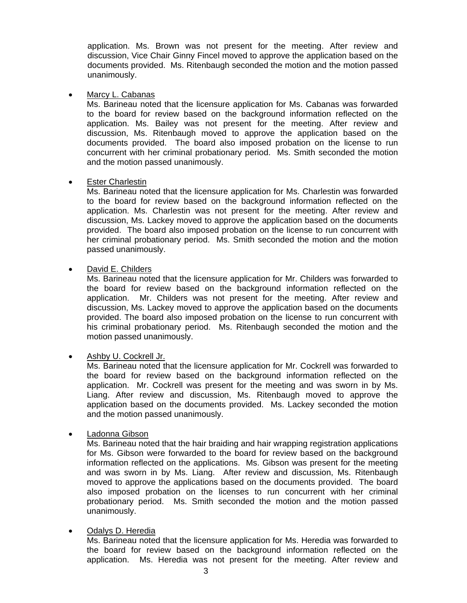application. Ms. Brown was not present for the meeting. After review and discussion, Vice Chair Ginny Fincel moved to approve the application based on the documents provided. Ms. Ritenbaugh seconded the motion and the motion passed unanimously.

# • Marcy L. Cabanas

Ms. Barineau noted that the licensure application for Ms. Cabanas was forwarded to the board for review based on the background information reflected on the application. Ms. Bailey was not present for the meeting. After review and discussion, Ms. Ritenbaugh moved to approve the application based on the documents provided. The board also imposed probation on the license to run concurrent with her criminal probationary period. Ms. Smith seconded the motion and the motion passed unanimously.

# • Ester Charlestin

Ms. Barineau noted that the licensure application for Ms. Charlestin was forwarded to the board for review based on the background information reflected on the application. Ms. Charlestin was not present for the meeting. After review and discussion, Ms. Lackey moved to approve the application based on the documents provided. The board also imposed probation on the license to run concurrent with her criminal probationary period. Ms. Smith seconded the motion and the motion passed unanimously.

# David E. Childers

Ms. Barineau noted that the licensure application for Mr. Childers was forwarded to the board for review based on the background information reflected on the application. Mr. Childers was not present for the meeting. After review and discussion, Ms. Lackey moved to approve the application based on the documents provided. The board also imposed probation on the license to run concurrent with his criminal probationary period. Ms. Ritenbaugh seconded the motion and the motion passed unanimously.

# • Ashby U. Cockrell Jr.

Ms. Barineau noted that the licensure application for Mr. Cockrell was forwarded to the board for review based on the background information reflected on the application. Mr. Cockrell was present for the meeting and was sworn in by Ms. Liang. After review and discussion, Ms. Ritenbaugh moved to approve the application based on the documents provided. Ms. Lackey seconded the motion and the motion passed unanimously.

# • Ladonna Gibson

Ms. Barineau noted that the hair braiding and hair wrapping registration applications for Ms. Gibson were forwarded to the board for review based on the background information reflected on the applications. Ms. Gibson was present for the meeting and was sworn in by Ms. Liang. After review and discussion, Ms. Ritenbaugh moved to approve the applications based on the documents provided. The board also imposed probation on the licenses to run concurrent with her criminal probationary period. Ms. Smith seconded the motion and the motion passed unanimously.

# • Odalys D. Heredia

Ms. Barineau noted that the licensure application for Ms. Heredia was forwarded to the board for review based on the background information reflected on the application. Ms. Heredia was not present for the meeting. After review and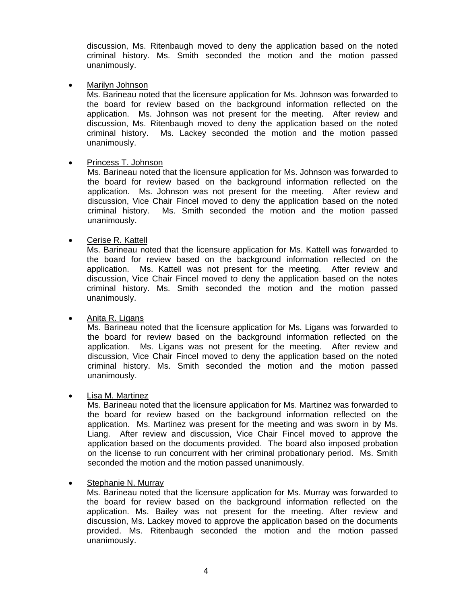discussion, Ms. Ritenbaugh moved to deny the application based on the noted criminal history. Ms. Smith seconded the motion and the motion passed unanimously.

• Marilyn Johnson

Ms. Barineau noted that the licensure application for Ms. Johnson was forwarded to the board for review based on the background information reflected on the application. Ms. Johnson was not present for the meeting. After review and discussion, Ms. Ritenbaugh moved to deny the application based on the noted criminal history. Ms. Lackey seconded the motion and the motion passed unanimously.

# • Princess T. Johnson

Ms. Barineau noted that the licensure application for Ms. Johnson was forwarded to the board for review based on the background information reflected on the application. Ms. Johnson was not present for the meeting. After review and discussion, Vice Chair Fincel moved to deny the application based on the noted criminal history. Ms. Smith seconded the motion and the motion passed unanimously.

# • Cerise R. Kattell

Ms. Barineau noted that the licensure application for Ms. Kattell was forwarded to the board for review based on the background information reflected on the application. Ms. Kattell was not present for the meeting. After review and discussion, Vice Chair Fincel moved to deny the application based on the notes criminal history. Ms. Smith seconded the motion and the motion passed unanimously.

# Anita R. Ligans

Ms. Barineau noted that the licensure application for Ms. Ligans was forwarded to the board for review based on the background information reflected on the application. Ms. Ligans was not present for the meeting. After review and discussion, Vice Chair Fincel moved to deny the application based on the noted criminal history. Ms. Smith seconded the motion and the motion passed unanimously.

# • Lisa M. Martinez

Ms. Barineau noted that the licensure application for Ms. Martinez was forwarded to the board for review based on the background information reflected on the application. Ms. Martinez was present for the meeting and was sworn in by Ms. Liang. After review and discussion, Vice Chair Fincel moved to approve the application based on the documents provided. The board also imposed probation on the license to run concurrent with her criminal probationary period. Ms. Smith seconded the motion and the motion passed unanimously.

# • Stephanie N. Murray

Ms. Barineau noted that the licensure application for Ms. Murray was forwarded to the board for review based on the background information reflected on the application. Ms. Bailey was not present for the meeting. After review and discussion, Ms. Lackey moved to approve the application based on the documents provided. Ms. Ritenbaugh seconded the motion and the motion passed unanimously.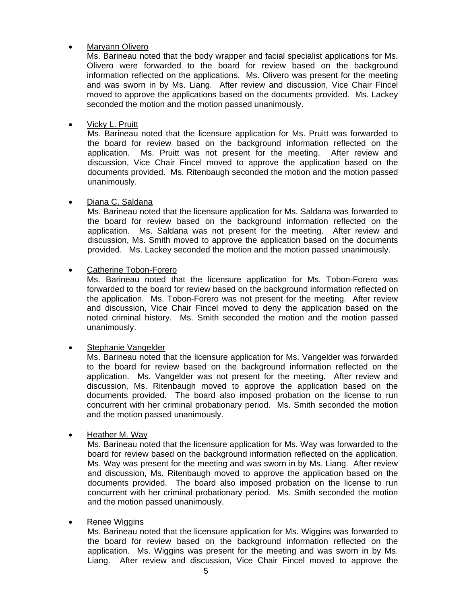# • Maryann Olivero

Ms. Barineau noted that the body wrapper and facial specialist applications for Ms. Olivero were forwarded to the board for review based on the background information reflected on the applications. Ms. Olivero was present for the meeting and was sworn in by Ms. Liang. After review and discussion, Vice Chair Fincel moved to approve the applications based on the documents provided. Ms. Lackey seconded the motion and the motion passed unanimously.

• Vicky L. Pruitt

Ms. Barineau noted that the licensure application for Ms. Pruitt was forwarded to the board for review based on the background information reflected on the application. Ms. Pruitt was not present for the meeting. After review and discussion, Vice Chair Fincel moved to approve the application based on the documents provided. Ms. Ritenbaugh seconded the motion and the motion passed unanimously.

# • Diana C. Saldana

Ms. Barineau noted that the licensure application for Ms. Saldana was forwarded to the board for review based on the background information reflected on the application. Ms. Saldana was not present for the meeting. After review and discussion, Ms. Smith moved to approve the application based on the documents provided. Ms. Lackey seconded the motion and the motion passed unanimously.

• Catherine Tobon-Forero

Ms. Barineau noted that the licensure application for Ms. Tobon-Forero was forwarded to the board for review based on the background information reflected on the application. Ms. Tobon-Forero was not present for the meeting. After review and discussion, Vice Chair Fincel moved to deny the application based on the noted criminal history. Ms. Smith seconded the motion and the motion passed unanimously.

# • Stephanie Vangelder

Ms. Barineau noted that the licensure application for Ms. Vangelder was forwarded to the board for review based on the background information reflected on the application. Ms. Vangelder was not present for the meeting. After review and discussion, Ms. Ritenbaugh moved to approve the application based on the documents provided. The board also imposed probation on the license to run concurrent with her criminal probationary period. Ms. Smith seconded the motion and the motion passed unanimously.

• Heather M. Way

Ms. Barineau noted that the licensure application for Ms. Way was forwarded to the board for review based on the background information reflected on the application. Ms. Way was present for the meeting and was sworn in by Ms. Liang. After review and discussion, Ms. Ritenbaugh moved to approve the application based on the documents provided. The board also imposed probation on the license to run concurrent with her criminal probationary period. Ms. Smith seconded the motion and the motion passed unanimously.

• Renee Wiggins

Ms. Barineau noted that the licensure application for Ms. Wiggins was forwarded to the board for review based on the background information reflected on the application. Ms. Wiggins was present for the meeting and was sworn in by Ms. Liang. After review and discussion, Vice Chair Fincel moved to approve the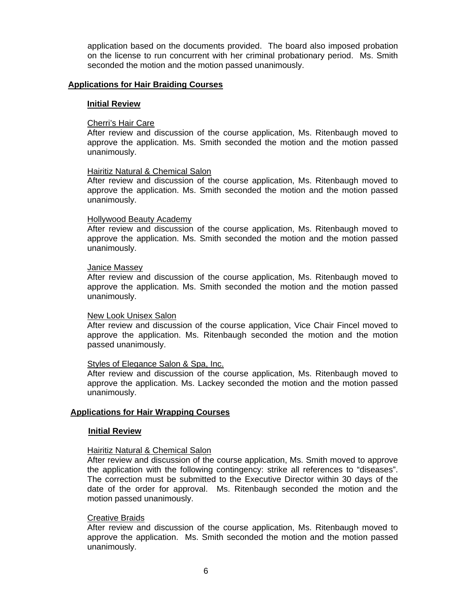application based on the documents provided. The board also imposed probation on the license to run concurrent with her criminal probationary period. Ms. Smith seconded the motion and the motion passed unanimously.

### **Applications for Hair Braiding Courses**

#### **Initial Review**

#### Cherri's Hair Care

After review and discussion of the course application, Ms. Ritenbaugh moved to approve the application. Ms. Smith seconded the motion and the motion passed unanimously.

#### Hairitiz Natural & Chemical Salon

After review and discussion of the course application, Ms. Ritenbaugh moved to approve the application. Ms. Smith seconded the motion and the motion passed unanimously.

#### Hollywood Beauty Academy

After review and discussion of the course application, Ms. Ritenbaugh moved to approve the application. Ms. Smith seconded the motion and the motion passed unanimously.

#### Janice Massey

After review and discussion of the course application, Ms. Ritenbaugh moved to approve the application. Ms. Smith seconded the motion and the motion passed unanimously.

#### New Look Unisex Salon

After review and discussion of the course application, Vice Chair Fincel moved to approve the application. Ms. Ritenbaugh seconded the motion and the motion passed unanimously.

# Styles of Elegance Salon & Spa, Inc.

After review and discussion of the course application, Ms. Ritenbaugh moved to approve the application. Ms. Lackey seconded the motion and the motion passed unanimously.

# **Applications for Hair Wrapping Courses**

#### **Initial Review**

#### Hairitiz Natural & Chemical Salon

After review and discussion of the course application, Ms. Smith moved to approve the application with the following contingency: strike all references to "diseases". The correction must be submitted to the Executive Director within 30 days of the date of the order for approval. Ms. Ritenbaugh seconded the motion and the motion passed unanimously.

#### Creative Braids

After review and discussion of the course application, Ms. Ritenbaugh moved to approve the application. Ms. Smith seconded the motion and the motion passed unanimously.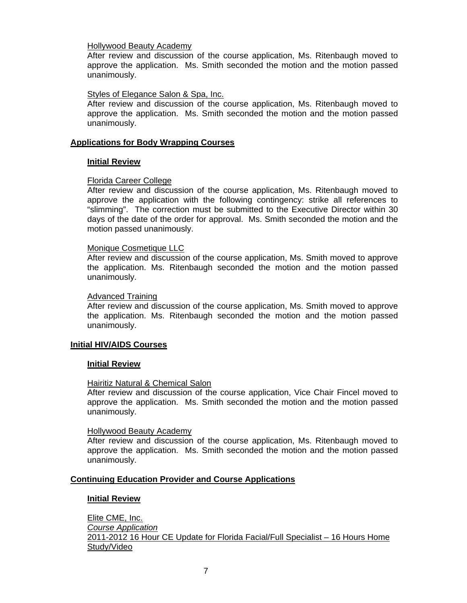# Hollywood Beauty Academy

After review and discussion of the course application, Ms. Ritenbaugh moved to approve the application. Ms. Smith seconded the motion and the motion passed unanimously.

# Styles of Elegance Salon & Spa, Inc.

After review and discussion of the course application, Ms. Ritenbaugh moved to approve the application. Ms. Smith seconded the motion and the motion passed unanimously.

# **Applications for Body Wrapping Courses**

# **Initial Review**

# Florida Career College

After review and discussion of the course application, Ms. Ritenbaugh moved to approve the application with the following contingency: strike all references to "slimming". The correction must be submitted to the Executive Director within 30 days of the date of the order for approval. Ms. Smith seconded the motion and the motion passed unanimously.

# Monique Cosmetique LLC

After review and discussion of the course application, Ms. Smith moved to approve the application. Ms. Ritenbaugh seconded the motion and the motion passed unanimously.

# Advanced Training

After review and discussion of the course application, Ms. Smith moved to approve the application. Ms. Ritenbaugh seconded the motion and the motion passed unanimously.

# **Initial HIV/AIDS Courses**

# **Initial Review**

# Hairitiz Natural & Chemical Salon

After review and discussion of the course application, Vice Chair Fincel moved to approve the application. Ms. Smith seconded the motion and the motion passed unanimously.

# Hollywood Beauty Academy

After review and discussion of the course application, Ms. Ritenbaugh moved to approve the application. Ms. Smith seconded the motion and the motion passed unanimously.

# **Continuing Education Provider and Course Applications**

# **Initial Review**

Elite CME, Inc. *Course Application* 2011-2012 16 Hour CE Update for Florida Facial/Full Specialist – 16 Hours Home Study/Video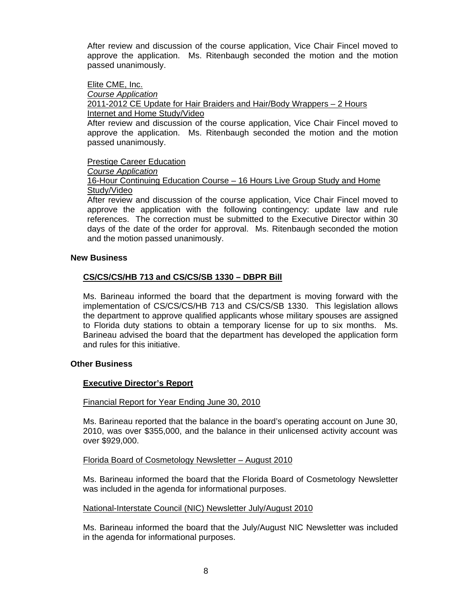After review and discussion of the course application, Vice Chair Fincel moved to approve the application. Ms. Ritenbaugh seconded the motion and the motion passed unanimously.

# Elite CME, Inc.

*Course Application*  2011-2012 CE Update for Hair Braiders and Hair/Body Wrappers – 2 Hours Internet and Home Study/Video

After review and discussion of the course application, Vice Chair Fincel moved to approve the application. Ms. Ritenbaugh seconded the motion and the motion passed unanimously.

Prestige Career Education

# *Course Application*

16-Hour Continuing Education Course – 16 Hours Live Group Study and Home Study/Video

After review and discussion of the course application, Vice Chair Fincel moved to approve the application with the following contingency: update law and rule references. The correction must be submitted to the Executive Director within 30 days of the date of the order for approval. Ms. Ritenbaugh seconded the motion and the motion passed unanimously.

# **New Business**

# **CS/CS/CS/HB 713 and CS/CS/SB 1330 – DBPR Bill**

Ms. Barineau informed the board that the department is moving forward with the implementation of CS/CS/CS/HB 713 and CS/CS/SB 1330. This legislation allows the department to approve qualified applicants whose military spouses are assigned to Florida duty stations to obtain a temporary license for up to six months. Ms. Barineau advised the board that the department has developed the application form and rules for this initiative.

# **Other Business**

# **Executive Director's Report**

# Financial Report for Year Ending June 30, 2010

Ms. Barineau reported that the balance in the board's operating account on June 30, 2010, was over \$355,000, and the balance in their unlicensed activity account was over \$929,000.

# Florida Board of Cosmetology Newsletter – August 2010

Ms. Barineau informed the board that the Florida Board of Cosmetology Newsletter was included in the agenda for informational purposes.

# National-Interstate Council (NIC) Newsletter July/August 2010

Ms. Barineau informed the board that the July/August NIC Newsletter was included in the agenda for informational purposes.